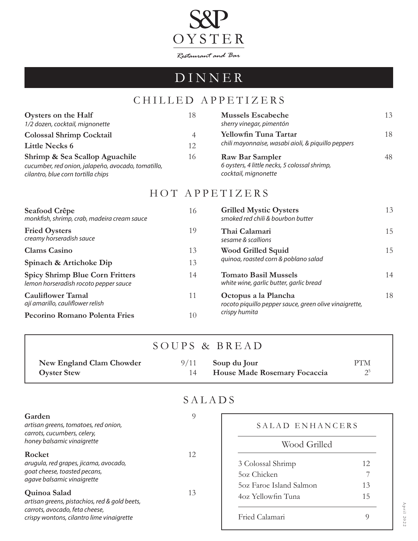

# DINNER

## CHILLED APPETIZERS

| Oysters on the Half                                | 18 | <b>Mussels Escabeche</b>                           | 13 |
|----------------------------------------------------|----|----------------------------------------------------|----|
| 1/2 dozen, cocktail, mignonette                    |    | sherry vinegar, pimentón                           |    |
| <b>Colossal Shrimp Cocktail</b>                    | 4  | Yellowfin Tuna Tartar                              | 18 |
| <b>Little Necks 6</b>                              | 12 | chili mayonnaise, wasabi aioli, & piquillo peppers |    |
| Shrimp & Sea Scallop Aguachile                     | 16 | Raw Bar Sampler                                    | 48 |
| cucumber, red onion, jalapeño, avocado, tomatillo, |    | 6 oysters, 4 little necks, 5 colossal shrimp,      |    |
| cilantro, blue corn tortilla chips                 |    | cocktail, mignonette                               |    |
|                                                    |    |                                                    |    |

#### HOT APPETIZERS

| Seafood Crêpe<br>monkfish, shrimp, crab, madeira cream sauce                    | 16 | <b>Grilled Mystic Oysters</b><br>smoked red chili & bourbon butter             | 13 |
|---------------------------------------------------------------------------------|----|--------------------------------------------------------------------------------|----|
| <b>Fried Oysters</b><br>creamy horseradish sauce                                | 19 | Thai Calamari<br>sesame & scallions                                            | 15 |
| <b>Clams Casino</b>                                                             | 13 | <b>Wood Grilled Squid</b><br>quinoa, roasted corn & poblano salad              | 15 |
| Spinach & Artichoke Dip                                                         | 13 |                                                                                |    |
| <b>Spicy Shrimp Blue Corn Fritters</b><br>lemon horseradish rocoto pepper sauce | 14 | <b>Tomato Basil Mussels</b><br>white wine, garlic butter, garlic bread         | 14 |
| <b>Cauliflower Tamal</b><br>ají amarillo, cauliflower relish                    | 11 | Octopus a la Plancha<br>rocoto piquillo pepper sauce, green olive vinaigrette, | 18 |
| Pecorino Romano Polenta Fries                                                   | 10 | crispy humita                                                                  |    |

|  |  | SOUPS & BREAD |
|--|--|---------------|
|--|--|---------------|

| New England Clam Chowder | $9/11$ Soup du Jour                 | <b>PTM</b> |
|--------------------------|-------------------------------------|------------|
| <b>Oyster Stew</b>       | <b>House Made Rosemary Focaccia</b> |            |

### SALADS

| Garden<br>artisan greens, tomatoes, red onion,<br>carrots, cucumbers, celery,<br>honey balsamic vinaigrette                                  | 9  | SALAD ENHANCERS<br>Wood Grilled                                 |               |
|----------------------------------------------------------------------------------------------------------------------------------------------|----|-----------------------------------------------------------------|---------------|
| Rocket<br>arugula, red grapes, jicama, avocado,<br>goat cheese, toasted pecans,<br>agave balsamic vinaigrette                                | 12 | 3 Colossal Shrimp<br>50z Chicken                                | 12.           |
| Quinoa Salad<br>artisan greens, pistachios, red & gold beets,<br>carrots, avocado, feta cheese,<br>crispy wontons, cilantro lime vinaigrette | 13 | 50z Faroe Island Salmon<br>4oz Yellowfin Tuna<br>Fried Calamari | 13<br>15<br>Q |